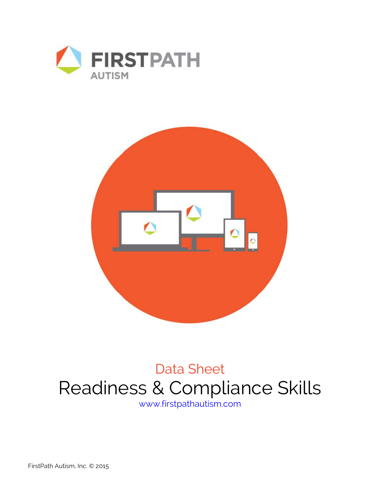



## Data Sheet Readiness & Compliance Skills www.firstpathautism.com

FirstPath Autism, Inc. © 2015